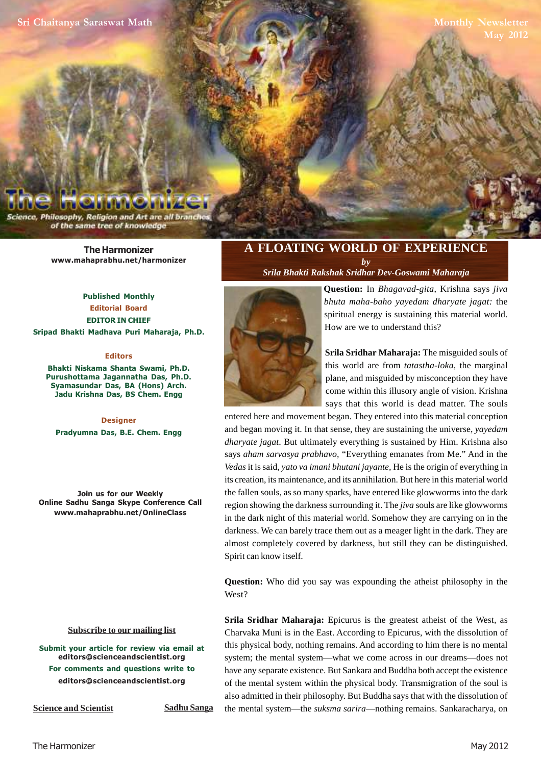Philosophy, Religion and Art are all bra of the same tree of knowledge

> **The Harmonizer www.mahaprabhu.net/harmonizer**

**Published Monthly Editorial Board EDITOR IN CHIEF Sripad Bhakti Madhava Puri Maharaja, Ph.D.**

#### **Editors**

**Bhakti Niskama Shanta Swami, Ph.D. Purushottama Jagannatha Das, Ph.D. Syamasundar Das, BA (Hons) Arch. Jadu Krishna Das, BS Chem. Engg**

**Designer Pradyumna Das, B.E. Chem. Engg**

**Join us for our Weekly Online Sadhu Sanga Skype Conference Call www.mahaprabhu.net/OnlineClass**

#### **<u>Subscribe to our mailing list</u>**

**Submit your article for review via email at editors@scienceandscientist.org For comments and questions write to editors@scienceandscientist.org**

**Science and Scientist Sadhu Sanga** 

### **A FLOATING WORLD OF EXPERIENCE**

*by Srila Bhakti Rakshak Sridhar Dev-Goswami Maharaja*



**Question:** In *Bhagavad-gita*, Krishna says *jiva bhuta maha-baho yayedam dharyate jagat:* the spiritual energy is sustaining this material world. How are we to understand this?

**Srila Sridhar Maharaja:** The misguided souls of this world are from *tatastha-loka*, the marginal plane, and misguided by misconception they have come within this illusory angle of vision. Krishna says that this world is dead matter. The souls

entered here and movement began. They entered into this material conception and began moving it. In that sense, they are sustaining the universe, *yayedam dharyate jagat*. But ultimately everything is sustained by Him. Krishna also says *aham sarvasya prabhavo,* "Everything emanates from Me." And in the *Vedas* it is said, *yato va imani bhutani jayante,* He is the origin of everything in its creation, its maintenance, and its annihilation. But here in this material world the fallen souls, as so many sparks, have entered like glowworms into the dark region showing the darkness surrounding it. The *jiva* souls are like glowworms in the dark night of this material world. Somehow they are carrying on in the darkness. We can barely trace them out as a meager light in the dark. They are almost completely covered by darkness, but still they can be distinguished. Spirit can know itself.

**Question:** Who did you say was expounding the atheist philosophy in the West?

**Srila Sridhar Maharaja:** Epicurus is the greatest atheist of the West, as Charvaka Muni is in the East. According to Epicurus, with the dissolution of this physical body, nothing remains. And according to him there is no mental system; the mental system—what we come across in our dreams—does not have any separate existence. But Sankara and Buddha both accept the existence of the mental system within the physical body. Transmigration of the soul is also admitted in their philosophy. But Buddha says that with the dissolution of the mental system—the *suksma sarira*—nothing remains. Sankaracharya, on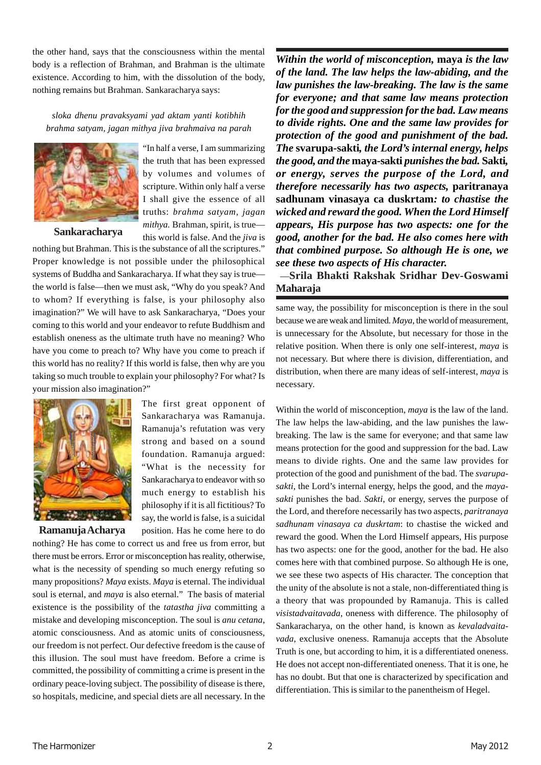the other hand, says that the consciousness within the mental body is a reflection of Brahman, and Brahman is the ultimate existence. According to him, with the dissolution of the body, nothing remains but Brahman. Sankaracharya says:

*sloka dhenu pravaksyami yad aktam yanti kotibhih brahma satyam, jagan mithya jiva brahmaiva na parah*



"In half a verse, I am summarizing the truth that has been expressed by volumes and volumes of scripture. Within only half a verse I shall give the essence of all truths: *brahma satyam, jagan mithya.* Brahman, spirit, is true this world is false. And the *jiva* is

nothing but Brahman. This is the substance of all the scriptures." Proper knowledge is not possible under the philosophical systems of Buddha and Sankaracharya. If what they say is true the world is false—then we must ask, "Why do you speak? And to whom? If everything is false, is your philosophy also imagination?" We will have to ask Sankaracharya, "Does your coming to this world and your endeavor to refute Buddhism and establish oneness as the ultimate truth have no meaning? Who have you come to preach to? Why have you come to preach if this world has no reality? If this world is false, then why are you taking so much trouble to explain your philosophy? For what? Is your mission also imagination?"



**Ramanuja Acharya**

The first great opponent of Sankaracharya was Ramanuja. Ramanuja's refutation was very strong and based on a sound foundation. Ramanuja argued: "What is the necessity for Sankaracharya to endeavor with so much energy to establish his philosophy if it is all fictitious? To say, the world is false, is a suicidal position. Has he come here to do

nothing? He has come to correct us and free us from error, but there must be errors. Error or misconception has reality, otherwise, what is the necessity of spending so much energy refuting so many propositions? *Maya* exists. *Maya* is eternal. The individual soul is eternal, and *maya* is also eternal." The basis of material existence is the possibility of the *tatastha jiva* committing a mistake and developing misconception. The soul is *anu cetana*, atomic consciousness. And as atomic units of consciousness, our freedom is not perfect. Our defective freedom is the cause of this illusion. The soul must have freedom. Before a crime is committed, the possibility of committing a crime is present in the ordinary peace-loving subject. The possibility of disease is there, so hospitals, medicine, and special diets are all necessary. In the

*Within the world of misconception,* **maya** *is the law of the land. The law helps the law-abiding, and the law punishes the law-breaking. The law is the same for everyone; and that same law means protection for the good and suppression for the bad. Law means to divide rights. One and the same law provides for protection of the good and punishment of the bad. The* **svarupa-sakti***, the Lord's internal energy, helps the good, and the* **maya-sakti** *punishes the bad.* **Sakti***, or energy, serves the purpose of the Lord, and therefore necessarily has two aspects,* **paritranaya sadhunam vinasaya ca duskrtam***: to chastise the wicked and reward the good. When the Lord Himself appears, His purpose has two aspects: one for the good, another for the bad. He also comes here with that combined purpose. So although He is one, we see these two aspects of His character.*

—**Srila Bhakti Rakshak Sridhar Dev-Goswami Maharaja**

same way, the possibility for misconception is there in the soul because we are weak and limited. *Maya*, the world of measurement, is unnecessary for the Absolute, but necessary for those in the relative position. When there is only one self-interest, *maya* is not necessary. But where there is division, differentiation, and distribution, when there are many ideas of self-interest, *maya* is necessary.

Within the world of misconception, *maya* is the law of the land. The law helps the law-abiding, and the law punishes the lawbreaking. The law is the same for everyone; and that same law means protection for the good and suppression for the bad. Law means to divide rights. One and the same law provides for protection of the good and punishment of the bad. The *svarupasakti*, the Lord's internal energy, helps the good, and the *mayasakti* punishes the bad. *Sakti*, or energy, serves the purpose of the Lord, and therefore necessarily has two aspects, *paritranaya sadhunam vinasaya ca duskrtam*: to chastise the wicked and reward the good. When the Lord Himself appears, His purpose has two aspects: one for the good, another for the bad. He also comes here with that combined purpose. So although He is one, we see these two aspects of His character. The conception that the unity of the absolute is not a stale, non-differentiated thing is a theory that was propounded by Ramanuja. This is called *visistadvaitavada*, oneness with difference. The philosophy of Sankaracharya, on the other hand, is known as *kevaladvaitavada*, exclusive oneness. Ramanuja accepts that the Absolute Truth is one, but according to him, it is a differentiated oneness. He does not accept non-differentiated oneness. That it is one, he has no doubt. But that one is characterized by specification and differentiation. This is similar to the panentheism of Hegel.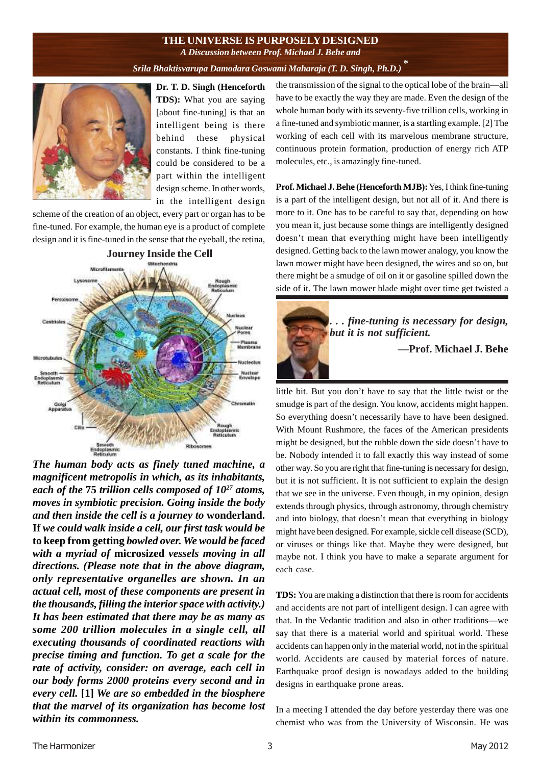### **THE UNIVERSE IS PURPOSELY DESIGNED** *A Discussion between Prof. Michael J. Behe and*

## *Srila Bhaktisvarupa Damodara Goswami Maharaja (T. D. Singh, Ph.D.)*  **\***



**Dr. T. D. Singh (Henceforth TDS):** What you are saying [about fine-tuning] is that an intelligent being is there behind these physical constants. I think fine-tuning could be considered to be a part within the intelligent design scheme. In other words, in the intelligent design

scheme of the creation of an object, every part or organ has to be fine-tuned. For example, the human eye is a product of complete design and it is fine-tuned in the sense that the eyeball, the retina,



*The human body acts as finely tuned machine, a magnificent metropolis in which, as its inhabitants, each of the* **75** *trillion cells composed of 10<sup>27</sup> atoms, moves in symbiotic precision. Going inside the body and then inside the cell is a journey to* **wonderland. If** *we could walk inside a cell, our first task would be* **to keep from getting** *bowled over. We would be faced with a myriad of* **microsized** *vessels moving in all directions. (Please note that in the above diagram, only representative organelles are shown. In an actual cell, most of these components are present in the thousands, filling the interior space with activity.) It has been estimated that there may be as many as some 200 trillion molecules in a single cell, all executing thousands of coordinated reactions with precise timing and function. To get a scale for the rate of activity, consider: on average, each cell in our body forms 2000 proteins every second and in every cell.* **[1]** *We are so embedded in the biosphere that the marvel of its organization has become lost within its commonness.*

the transmission of the signal to the optical lobe of the brain—all have to be exactly the way they are made. Even the design of the whole human body with its seventy-five trillion cells, working in a fine-tuned and symbiotic manner, is a startling example. [2] The working of each cell with its marvelous membrane structure, continuous protein formation, production of energy rich ATP molecules, etc., is amazingly fine-tuned.

**Prof. Michael J. Behe (Henceforth MJB):** Yes, I think fine-tuning is a part of the intelligent design, but not all of it. And there is more to it. One has to be careful to say that, depending on how you mean it, just because some things are intelligently designed doesn't mean that everything might have been intelligently designed. Getting back to the lawn mower analogy, you know the lawn mower might have been designed, the wires and so on, but there might be a smudge of oil on it or gasoline spilled down the side of it. The lawn mower blade might over time get twisted a



little bit. But you don't have to say that the little twist or the smudge is part of the design. You know, accidents might happen. So everything doesn't necessarily have to have been designed. With Mount Rushmore, the faces of the American presidents might be designed, but the rubble down the side doesn't have to be. Nobody intended it to fall exactly this way instead of some other way. So you are right that fine-tuning is necessary for design, but it is not sufficient. It is not sufficient to explain the design that we see in the universe. Even though, in my opinion, design extends through physics, through astronomy, through chemistry and into biology, that doesn't mean that everything in biology might have been designed. For example, sickle cell disease (SCD), or viruses or things like that. Maybe they were designed, but maybe not. I think you have to make a separate argument for each case.

**TDS:** You are making a distinction that there is room for accidents and accidents are not part of intelligent design. I can agree with that. In the Vedantic tradition and also in other traditions—we say that there is a material world and spiritual world. These accidents can happen only in the material world, not in the spiritual world. Accidents are caused by material forces of nature. Earthquake proof design is nowadays added to the building designs in earthquake prone areas.

In a meeting I attended the day before yesterday there was one chemist who was from the University of Wisconsin. He was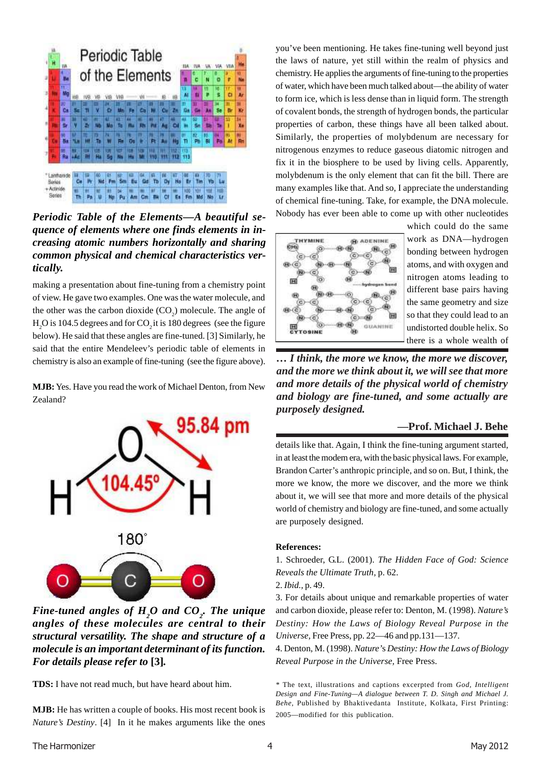

*Periodic Table of the Elements—A beautiful sequence of elements where one finds elements in increasing atomic numbers horizontally and sharing common physical and chemical characteristics vertically.*

making a presentation about fine-tuning from a chemistry point of view. He gave two examples. One was the water molecule, and the other was the carbon dioxide  $(CO_2)$  molecule. The angle of H<sub>2</sub>O is 104.5 degrees and for  $CO<sub>2</sub>$  it is 180 degrees (see the figure below). He said that these angles are fine-tuned. [3] Similarly, he said that the entire Mendeleev's periodic table of elements in chemistry is also an example of fine-tuning (see the figure above).

**MJB:** Yes. Have you read the work of Michael Denton, from New Zealand?



*Fine-tuned angles of H2O and CO<sup>2</sup> . The unique angles of these molecules are central to their structural versatility. The shape and structure of a molecule is an important determinant of its function. For details please refer to* **[3]***.*

**TDS:** I have not read much, but have heard about him.

**MJB:** He has written a couple of books. His most recent book is *Nature's Destiny*. [4] In it he makes arguments like the ones you've been mentioning. He takes fine-tuning well beyond just the laws of nature, yet still within the realm of physics and chemistry. He applies the arguments of fine-tuning to the properties of water, which have been much talked about—the ability of water to form ice, which is less dense than in liquid form. The strength of covalent bonds, the strength of hydrogen bonds, the particular properties of carbon, these things have all been talked about. Similarly, the properties of molybdenum are necessary for nitrogenous enzymes to reduce gaseous diatomic nitrogen and fix it in the biosphere to be used by living cells. Apparently, molybdenum is the only element that can fit the bill. There are many examples like that. And so, I appreciate the understanding of chemical fine-tuning. Take, for example, the DNA molecule. Nobody has ever been able to come up with other nucleotides



which could do the same work as DNA—hydrogen bonding between hydrogen atoms, and with oxygen and nitrogen atoms leading to different base pairs having the same geometry and size so that they could lead to an undistorted double helix. So there is a whole wealth of

*… I think, the more we know, the more we discover, and the more we think about it, we will see that more and more details of the physical world of chemistry and biology are fine-tuned, and some actually are purposely designed.*

### **—Prof. Michael J. Behe**

details like that. Again, I think the fine-tuning argument started, in at least the modem era, with the basic physical laws. For example, Brandon Carter's anthropic principle, and so on. But, I think, the more we know, the more we discover, and the more we think about it, we will see that more and more details of the physical world of chemistry and biology are fine-tuned, and some actually are purposely designed.

### **References:**

1. Schroeder, G.L. (2001). *The Hidden Face of God: Science Reveals the Ultimate Truth,* p. 62.

2. *Ibid.,* p. 49.

3. For details about unique and remarkable properties of water and carbon dioxide, please refer to: Denton, M. (1998). *Nature's Destiny: How the Laws of Biology Reveal Purpose in the Universe,* Free Press, pp. 22—46 and pp.131—137.

4. Denton, M. (1998). *Nature'*s *Destiny: How the Laws of Biology Reveal Purpose in the Universe,* Free Press.

*<sup>\*</sup>* The text, illustrations and captions excerpted from *God, Intelligent Design and Fine-Tuning—A dialogue between T. D. Singh and Michael J. Behe,* Published by Bhaktivedanta Institute, Kolkata, First Printing: 2005—modified for this publication.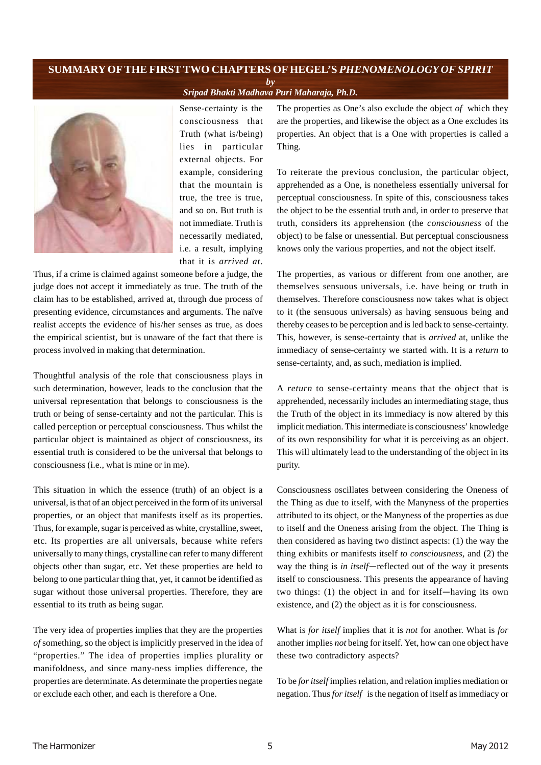### **SUMMARY OFTHE FIRSTTWO CHAPTERS OF HEGEL'S** *PHENOMENOLOGY OF SPIRIT by*

*Sripad Bhakti Madhava Puri Maharaja, Ph.D.*



Sense-certainty is the consciousness that Truth (what is/being) lies in particular external objects. For example, considering that the mountain is true, the tree is true, and so on. But truth is not immediate. Truth is necessarily mediated, i.e. a result, implying that it is *arrived at*.

Thus, if a crime is claimed against someone before a judge, the judge does not accept it immediately as true. The truth of the claim has to be established, arrived at, through due process of presenting evidence, circumstances and arguments. The naïve realist accepts the evidence of his/her senses as true, as does the empirical scientist, but is unaware of the fact that there is process involved in making that determination.

Thoughtful analysis of the role that consciousness plays in such determination, however, leads to the conclusion that the universal representation that belongs to consciousness is the truth or being of sense-certainty and not the particular. This is called perception or perceptual consciousness. Thus whilst the particular object is maintained as object of consciousness, its essential truth is considered to be the universal that belongs to consciousness (i.e., what is mine or in me).

This situation in which the essence (truth) of an object is a universal, is that of an object perceived in the form of its universal properties, or an object that manifests itself as its properties. Thus, for example, sugar is perceived as white, crystalline, sweet, etc. Its properties are all universals, because white refers universally to many things, crystalline can refer to many different objects other than sugar, etc. Yet these properties are held to belong to one particular thing that, yet, it cannot be identified as sugar without those universal properties. Therefore, they are essential to its truth as being sugar.

The very idea of properties implies that they are the properties *of* something, so the object is implicitly preserved in the idea of "properties." The idea of properties implies plurality or manifoldness, and since many-ness implies difference, the properties are determinate. As determinate the properties negate or exclude each other, and each is therefore a One.

The properties as One's also exclude the object *of* which they are the properties, and likewise the object as a One excludes its properties. An object that is a One with properties is called a Thing.

To reiterate the previous conclusion, the particular object, apprehended as a One, is nonetheless essentially universal for perceptual consciousness. In spite of this, consciousness takes the object to be the essential truth and, in order to preserve that truth, considers its apprehension (the *consciousness* of the object) to be false or unessential. But perceptual consciousness knows only the various properties, and not the object itself.

The properties, as various or different from one another, are themselves sensuous universals, i.e. have being or truth in themselves. Therefore consciousness now takes what is object to it (the sensuous universals) as having sensuous being and thereby ceases to be perception and is led back to sense-certainty. This, however, is sense-certainty that is *arrived* at, unlike the immediacy of sense-certainty we started with. It is a *return* to sense-certainty, and, as such, mediation is implied.

A *return* to sense-certainty means that the object that is apprehended, necessarily includes an intermediating stage, thus the Truth of the object in its immediacy is now altered by this implicit mediation. This intermediate is consciousness' knowledge of its own responsibility for what it is perceiving as an object. This will ultimately lead to the understanding of the object in its purity.

Consciousness oscillates between considering the Oneness of the Thing as due to itself, with the Manyness of the properties attributed to its object, or the Manyness of the properties as due to itself and the Oneness arising from the object. The Thing is then considered as having two distinct aspects: (1) the way the thing exhibits or manifests itself *to consciousness,* and (2) the way the thing is *in itself*—reflected out of the way it presents itself to consciousness. This presents the appearance of having two things: (1) the object in and for itself—having its own existence, and (2) the object as it is for consciousness.

What is *for itself* implies that it is *not* for another. What is *for* another implies *not* being for itself. Yet, how can one object have these two contradictory aspects?

To be *for itself* implies relation, and relation implies mediation or negation. Thus *for itself* is the negation of itself as immediacy or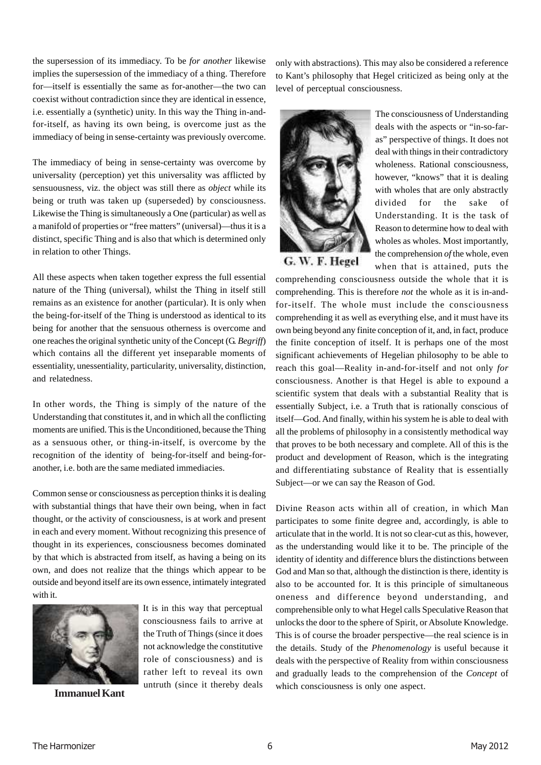the supersession of its immediacy. To be *for another* likewise implies the supersession of the immediacy of a thing. Therefore for—itself is essentially the same as for-another—the two can coexist without contradiction since they are identical in essence, i.e. essentially a (synthetic) unity. In this way the Thing in-andfor-itself, as having its own being, is overcome just as the immediacy of being in sense-certainty was previously overcome.

The immediacy of being in sense-certainty was overcome by universality (perception) yet this universality was afflicted by sensuousness, viz. the object was still there as *object* while its being or truth was taken up (superseded) by consciousness. Likewise the Thing is simultaneously a One (particular) as well as a manifold of properties or "free matters" (universal)—thus it is a distinct, specific Thing and is also that which is determined only in relation to other Things.

All these aspects when taken together express the full essential nature of the Thing (universal), whilst the Thing in itself still remains as an existence for another (particular). It is only when the being-for-itself of the Thing is understood as identical to its being for another that the sensuous otherness is overcome and one reaches the original synthetic unity of the Concept (G. *Begriff*) which contains all the different yet inseparable moments of essentiality, unessentiality, particularity, universality, distinction, and relatedness.

In other words, the Thing is simply of the nature of the Understanding that constitutes it, and in which all the conflicting moments are unified. This is the Unconditioned, because the Thing as a sensuous other, or thing-in-itself, is overcome by the recognition of the identity of being-for-itself and being-foranother, i.e. both are the same mediated immediacies.

Common sense or consciousness as perception thinks it is dealing with substantial things that have their own being, when in fact thought, or the activity of consciousness, is at work and present in each and every moment. Without recognizing this presence of thought in its experiences, consciousness becomes dominated by that which is abstracted from itself, as having a being on its own, and does not realize that the things which appear to be outside and beyond itself are its own essence, intimately integrated with it.

> It is in this way that perceptual consciousness fails to arrive at the Truth of Things (since it does not acknowledge the constitutive role of consciousness) and is rather left to reveal its own untruth (since it thereby deals



**Immanuel Kant**

only with abstractions). This may also be considered a reference to Kant's philosophy that Hegel criticized as being only at the level of perceptual consciousness.



G. W. F. Hegel

The consciousness of Understanding deals with the aspects or "in-so-faras" perspective of things. It does not deal with things in their contradictory wholeness. Rational consciousness, however, "knows" that it is dealing with wholes that are only abstractly divided for the sake of Understanding. It is the task of Reason to determine how to deal with wholes as wholes. Most importantly, the comprehension *of* the whole, even when that is attained, puts the

comprehending consciousness outside the whole that it is comprehending. This is therefore *not* the whole as it is in-andfor-itself. The whole must include the consciousness comprehending it as well as everything else, and it must have its own being beyond any finite conception of it, and, in fact, produce the finite conception of itself. It is perhaps one of the most significant achievements of Hegelian philosophy to be able to reach this goal—Reality in-and-for-itself and not only *for* consciousness. Another is that Hegel is able to expound a scientific system that deals with a substantial Reality that is essentially Subject, i.e. a Truth that is rationally conscious of itself—God. And finally, within his system he is able to deal with all the problems of philosophy in a consistently methodical way that proves to be both necessary and complete. All of this is the product and development of Reason, which is the integrating and differentiating substance of Reality that is essentially Subject—or we can say the Reason of God.

Divine Reason acts within all of creation, in which Man participates to some finite degree and, accordingly, is able to articulate that in the world. It is not so clear-cut as this, however, as the understanding would like it to be. The principle of the identity of identity and difference blurs the distinctions between God and Man so that, although the distinction is there, identity is also to be accounted for. It is this principle of simultaneous oneness and difference beyond understanding, and comprehensible only to what Hegel calls Speculative Reason that unlocks the door to the sphere of Spirit, or Absolute Knowledge. This is of course the broader perspective—the real science is in the details. Study of the *Phenomenology* is useful because it deals with the perspective of Reality from within consciousness and gradually leads to the comprehension of the *Concept* of which consciousness is only one aspect.